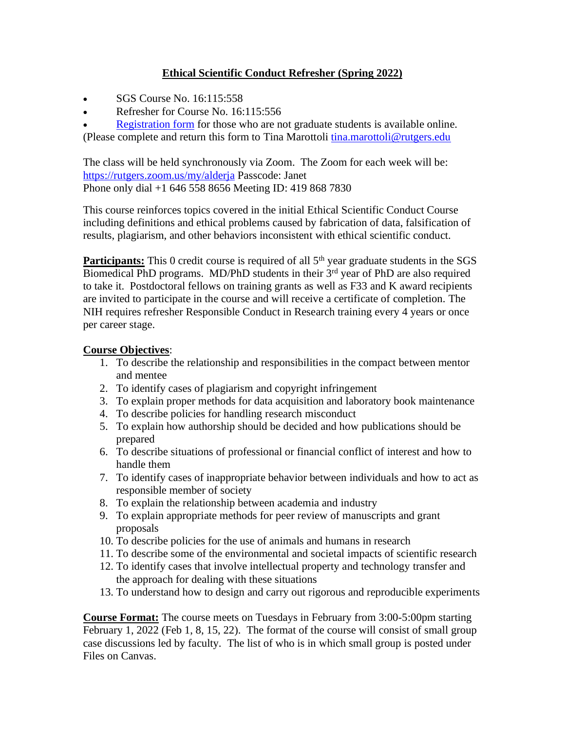## **Ethical Scientific Conduct Refresher (Spring 2022)**

- SGS Course No. 16:115:558
- Refresher for Course No. 16:115:556

**[Registration form](https://grad.rutgers.edu/sites/default/files/2020-10/EthicalScientificConductRefresherRegistrationFormSGS2017.pdf) for those who are not graduate students is available online.** (Please complete and return this form to Tina Marottoli [tina.marottoli@rutgers.edu](mailto:tina.marottoli@rutgers.edu)

The class will be held synchronously via Zoom. The Zoom for each week will be: <https://rutgers.zoom.us/my/alderja> Passcode: Janet Phone only dial +1 646 558 8656 Meeting ID: 419 868 7830

This course reinforces topics covered in the initial Ethical Scientific Conduct Course including definitions and ethical problems caused by fabrication of data, falsification of results, plagiarism, and other behaviors inconsistent with ethical scientific conduct.

**Participants:** This 0 credit course is required of all 5<sup>th</sup> year graduate students in the SGS Biomedical PhD programs. MD/PhD students in their 3<sup>rd</sup> year of PhD are also required to take it. Postdoctoral fellows on training grants as well as F33 and K award recipients are invited to participate in the course and will receive a certificate of completion. The NIH requires refresher Responsible Conduct in Research training every 4 years or once per career stage.

## **Course Objectives**:

- 1. To describe the relationship and responsibilities in the compact between mentor and mentee
- 2. To identify cases of plagiarism and copyright infringement
- 3. To explain proper methods for data acquisition and laboratory book maintenance
- 4. To describe policies for handling research misconduct
- 5. To explain how authorship should be decided and how publications should be prepared
- 6. To describe situations of professional or financial conflict of interest and how to handle them
- 7. To identify cases of inappropriate behavior between individuals and how to act as responsible member of society
- 8. To explain the relationship between academia and industry
- 9. To explain appropriate methods for peer review of manuscripts and grant proposals
- 10. To describe policies for the use of animals and humans in research
- 11. To describe some of the environmental and societal impacts of scientific research
- 12. To identify cases that involve intellectual property and technology transfer and the approach for dealing with these situations
- 13. To understand how to design and carry out rigorous and reproducible experiments

**Course Format:** The course meets on Tuesdays in February from 3:00-5:00pm starting February 1, 2022 (Feb 1, 8, 15, 22). The format of the course will consist of small group case discussions led by faculty. The list of who is in which small group is posted under Files on Canvas.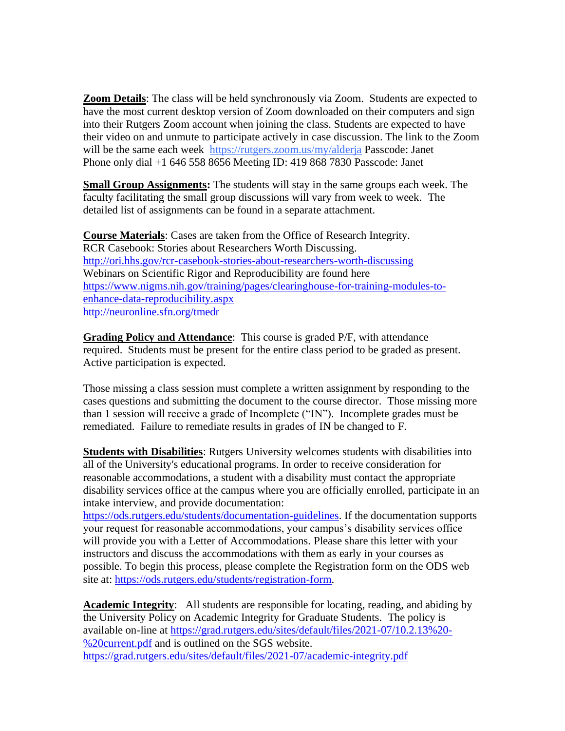**Zoom Details**: The class will be held synchronously via Zoom. Students are expected to have the most current desktop version of Zoom downloaded on their computers and sign into their Rutgers Zoom account when joining the class. Students are expected to have their video on and unmute to participate actively in case discussion. The link to the Zoom will be the same each week [https://rutgers.zoom.us/my/alderja](https://nam02.safelinks.protection.outlook.com/?url=https%3A%2F%2Frutgers.zoom.us%2Fmy%2Falderja&data=04%7C01%7Cjanet.alder%40rutgers.edu%7Ca28d5b8194784833ccd808d8bb166d46%7Cb92d2b234d35447093ff69aca6632ffe%7C1%7C0%7C637465052296651302%7CUnknown%7CTWFpbGZsb3d8eyJWIjoiMC4wLjAwMDAiLCJQIjoiV2luMzIiLCJBTiI6Ik1haWwiLCJXVCI6Mn0%3D%7C2000&sdata=r5TtCrpHN%2BXAP5%2FpbHuubKEMOhrv8OVSeTO8cQ1mFVI%3D&reserved=0) Passcode: Janet Phone only dial +1 646 558 8656 Meeting ID: 419 868 7830 Passcode: Janet

**Small Group Assignments:** The students will stay in the same groups each week. The faculty facilitating the small group discussions will vary from week to week. The detailed list of assignments can be found in a separate attachment.

**Course Materials**: Cases are taken from the Office of Research Integrity. RCR Casebook: Stories about Researchers Worth Discussing. <http://ori.hhs.gov/rcr-casebook-stories-about-researchers-worth-discussing> Webinars on Scientific Rigor and Reproducibility are found here [https://www.nigms.nih.gov/training/pages/clearinghouse-for-training-modules-to](https://www.nigms.nih.gov/training/pages/clearinghouse-for-training-modules-to-enhance-data-reproducibility.aspx)[enhance-data-reproducibility.aspx](https://www.nigms.nih.gov/training/pages/clearinghouse-for-training-modules-to-enhance-data-reproducibility.aspx) <http://neuronline.sfn.org/tmedr>

**Grading Policy and Attendance**: This course is graded P/F, with attendance required. Students must be present for the entire class period to be graded as present. Active participation is expected.

Those missing a class session must complete a written assignment by responding to the cases questions and submitting the document to the course director. Those missing more than 1 session will receive a grade of Incomplete ("IN"). Incomplete grades must be remediated. Failure to remediate results in grades of IN be changed to F.

**Students with Disabilities**: Rutgers University welcomes students with disabilities into all of the University's educational programs. In order to receive consideration for reasonable accommodations, a student with a disability must contact the appropriate disability services office at the campus where you are officially enrolled, participate in an intake interview, and provide documentation:

[https://ods.rutgers.edu/students/documentation-guidelines.](https://ods.rutgers.edu/students/documentation-guidelines) If the documentation supports your request for reasonable accommodations, your campus's disability services office will provide you with a Letter of Accommodations. Please share this letter with your instructors and discuss the accommodations with them as early in your courses as possible. To begin this process, please complete the Registration form on the ODS web site at: [https://ods.rutgers.edu/students/registration-form.](https://ods.rutgers.edu/students/registration-form)

**Academic Integrity**: All students are responsible for locating, reading, and abiding by the University Policy on Academic Integrity for Graduate Students. The policy is available on-line at [https://grad.rutgers.edu/sites/default/files/2021-07/10.2.13%20-](https://grad.rutgers.edu/sites/default/files/2021-07/10.2.13%20-%20current.pdf) [%20current.pdf](https://grad.rutgers.edu/sites/default/files/2021-07/10.2.13%20-%20current.pdf) and is outlined on the SGS website. <https://grad.rutgers.edu/sites/default/files/2021-07/academic-integrity.pdf>